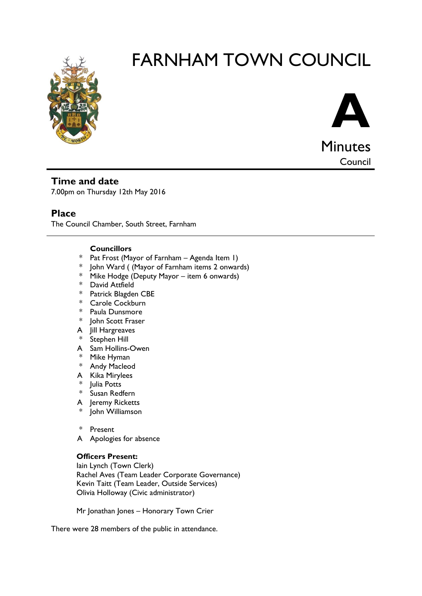

# FARNHAM TOWN COUNCIL



**Council** 

**Time and date**

7.00pm on Thursday 12th May 2016

# **Place**

The Council Chamber, South Street, Farnham

# **Councillors**

- \* Pat Frost (Mayor of Farnham Agenda Item 1)
- \* John Ward ( (Mayor of Farnham items 2 onwards)
- \* Mike Hodge (Deputy Mayor item 6 onwards)
- \* David Attfield
- \* Patrick Blagden CBE
- \* Carole Cockburn
- \* Paula Dunsmore
- \* John Scott Fraser
- A Jill Hargreaves
- \* Stephen Hill
- A Sam Hollins-Owen
- \* Mike Hyman
- \* Andy Macleod
- A Kika Mirylees
- \* Julia Potts
- \* Susan Redfern
- A Jeremy Ricketts
- John Williamson
- \* Present
- A Apologies for absence

# **Officers Present:**

Iain Lynch (Town Clerk) Rachel Aves (Team Leader Corporate Governance) Kevin Taitt (Team Leader, Outside Services) Olivia Holloway (Civic administrator)

Mr Jonathan Jones – Honorary Town Crier

There were 28 members of the public in attendance.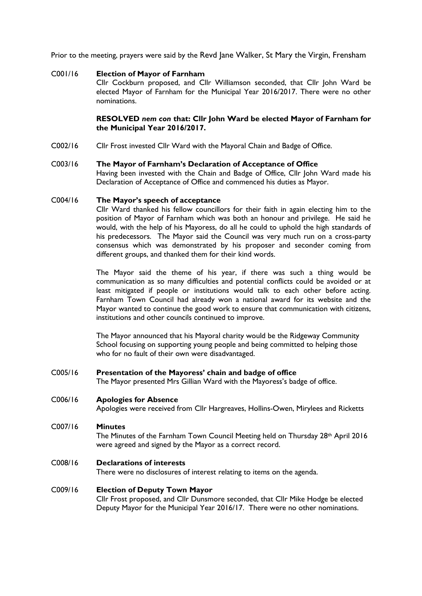Prior to the meeting, prayers were said by the Revd Jane Walker, St Mary the Virgin, Frensham

### C001/16 **Election of Mayor of Farnham**

Cllr Cockburn proposed, and Cllr Williamson seconded, that Cllr John Ward be elected Mayor of Farnham for the Municipal Year 2016/2017. There were no other nominations.

## **RESOLVED** *nem con* **that: Cllr John Ward be elected Mayor of Farnham for the Municipal Year 2016/2017.**

C002/16 Cllr Frost invested Cllr Ward with the Mayoral Chain and Badge of Office.

#### C003/16 **The Mayor of Farnham's Declaration of Acceptance of Office**

Having been invested with the Chain and Badge of Office, Cllr John Ward made his Declaration of Acceptance of Office and commenced his duties as Mayor.

#### C004/16 **The Mayor's speech of acceptance**

Cllr Ward thanked his fellow councillors for their faith in again electing him to the position of Mayor of Farnham which was both an honour and privilege. He said he would, with the help of his Mayoress, do all he could to uphold the high standards of his predecessors. The Mayor said the Council was very much run on a cross-party consensus which was demonstrated by his proposer and seconder coming from different groups, and thanked them for their kind words.

The Mayor said the theme of his year, if there was such a thing would be communication as so many difficulties and potential conflicts could be avoided or at least mitigated if people or institutions would talk to each other before acting. Farnham Town Council had already won a national award for its website and the Mayor wanted to continue the good work to ensure that communication with citizens, institutions and other councils continued to improve.

The Mayor announced that his Mayoral charity would be the Ridgeway Community School focusing on supporting young people and being committed to helping those who for no fault of their own were disadvantaged.

# C005/16 **Presentation of the Mayoress' chain and badge of office**

The Mayor presented Mrs Gillian Ward with the Mayoress's badge of office.

# C006/16 **Apologies for Absence**

Apologies were received from Cllr Hargreaves, Hollins-Owen, Mirylees and Ricketts

#### C007/16 **Minutes**

The Minutes of the Farnham Town Council Meeting held on Thursday 28<sup>th</sup> April 2016 were agreed and signed by the Mayor as a correct record.

# C008/16 **Declarations of interests**

There were no disclosures of interest relating to items on the agenda.

#### C009/16 **Election of Deputy Town Mayor**

Cllr Frost proposed, and Cllr Dunsmore seconded, that Cllr Mike Hodge be elected Deputy Mayor for the Municipal Year 2016/17. There were no other nominations.